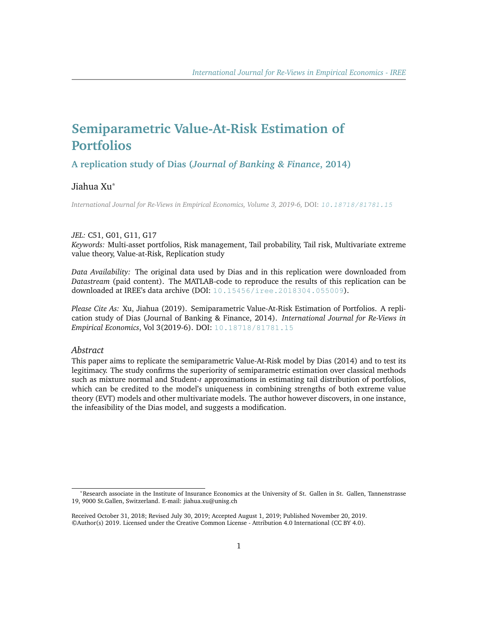# **Semiparametric Value-At-Risk Estimation of Portfolios**

**A replication study of Dias (***Journal of Banking & Finance***, 2014)**

# Jiahua Xu\*

*International Journal for Re-Views in Empirical Economics, Volume 3, 2019-6,* DOI: [10.18718/81781.15](https://doi.org/10.18718/81781.15)

#### *JEL:* C51, G01, G11, G17

*Keywords:* Multi-asset portfolios, Risk management, Tail probability, Tail risk, Multivariate extreme value theory, Value-at-Risk, Replication study

*Data Availability:* The original data used by Dias and in this replication were downloaded from *Datastream* (paid content). The MATLAB-code to reproduce the results of this replication can be downloaded at IREE's data archive (DOI: [10.15456/iree.2018304.055009](http://dx.doi.org/10.15456/iree.2018304.055009)).

*Please Cite As:* Xu, Jiahua (2019). Semiparametric Value-At-Risk Estimation of Portfolios. A replication study of Dias (Journal of Banking & Finance, 2014). *International Journal for Re-Views in Empirical Economics*, Vol 3(2019-6). DOI: [10.18718/81781.15](https://doi.org/10.18718/81781.15)

## *Abstract*

This paper aims to replicate the semiparametric Value-At-Risk model by Dias (2014) and to test its legitimacy. The study confirms the superiority of semiparametric estimation over classical methods such as mixture normal and Student-*t* approximations in estimating tail distribution of portfolios, which can be credited to the model's uniqueness in combining strengths of both extreme value theory (EVT) models and other multivariate models. The author however discovers, in one instance, the infeasibility of the Dias model, and suggests a modification.

<sup>\*</sup>Research associate in the Institute of Insurance Economics at the University of St. Gallen in St. Gallen, Tannenstrasse 19, 9000 St.Gallen, Switzerland. E-mail: jiahua.xu@unisg.ch

Received October 31, 2018; Revised July 30, 2019; Accepted August 1, 2019; Published November 20, 2019. ©Author(s) 2019. Licensed under the Creative Common License - Attribution 4.0 International (CC BY 4.0).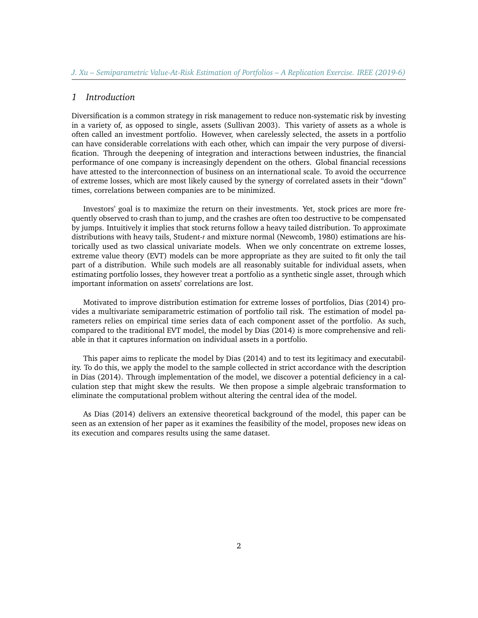#### *1 Introduction*

Diversification is a common strategy in risk management to reduce non-systematic risk by investing in a variety of, as opposed to single, assets (Sullivan 2003). This variety of assets as a whole is often called an investment portfolio. However, when carelessly selected, the assets in a portfolio can have considerable correlations with each other, which can impair the very purpose of diversification. Through the deepening of integration and interactions between industries, the financial performance of one company is increasingly dependent on the others. Global financial recessions have attested to the interconnection of business on an international scale. To avoid the occurrence of extreme losses, which are most likely caused by the synergy of correlated assets in their "down" times, correlations between companies are to be minimized.

Investors' goal is to maximize the return on their investments. Yet, stock prices are more frequently observed to crash than to jump, and the crashes are often too destructive to be compensated by jumps. Intuitively it implies that stock returns follow a heavy tailed distribution. To approximate distributions with heavy tails, Student-*t* and mixture normal (Newcomb, 1980) estimations are historically used as two classical univariate models. When we only concentrate on extreme losses, extreme value theory (EVT) models can be more appropriate as they are suited to fit only the tail part of a distribution. While such models are all reasonably suitable for individual assets, when estimating portfolio losses, they however treat a portfolio as a synthetic single asset, through which important information on assets' correlations are lost.

Motivated to improve distribution estimation for extreme losses of portfolios, Dias (2014) provides a multivariate semiparametric estimation of portfolio tail risk. The estimation of model parameters relies on empirical time series data of each component asset of the portfolio. As such, compared to the traditional EVT model, the model by Dias (2014) is more comprehensive and reliable in that it captures information on individual assets in a portfolio.

This paper aims to replicate the model by Dias (2014) and to test its legitimacy and executability. To do this, we apply the model to the sample collected in strict accordance with the description in Dias (2014). Through implementation of the model, we discover a potential deficiency in a calculation step that might skew the results. We then propose a simple algebraic transformation to eliminate the computational problem without altering the central idea of the model.

As Dias (2014) delivers an extensive theoretical background of the model, this paper can be seen as an extension of her paper as it examines the feasibility of the model, proposes new ideas on its execution and compares results using the same dataset.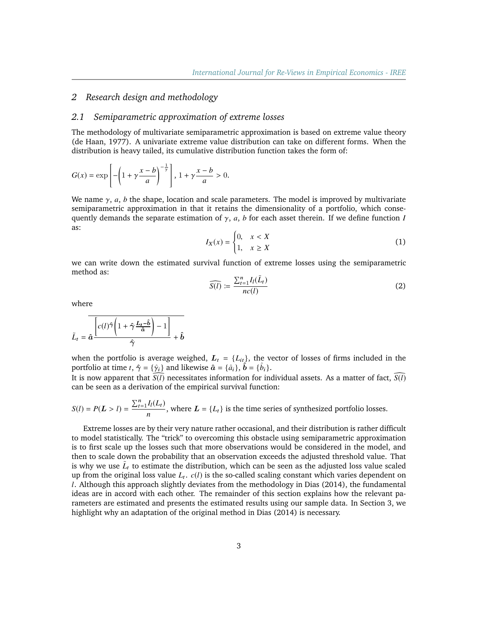## *2 Research design and methodology*

#### *2.1 Semiparametric approximation of extreme losses*

The methodology of multivariate semiparametric approximation is based on extreme value theory (de Haan, 1977). A univariate extreme value distribution can take on different forms. When the distribution is heavy tailed, its cumulative distribution function takes the form of:

$$
G(x) = \exp\left[-\left(1 + \gamma \frac{x - b}{a}\right)^{-\frac{1}{\gamma}}\right], 1 + \gamma \frac{x - b}{a} > 0.
$$

We name  $\gamma$ , *a*, *b* the shape, location and scale parameters. The model is improved by multivariate semiparametric approximation in that it retains the dimensionality of a portfolio, which consequently demands the separate estimation of  $\gamma$ , *a*, *b* for each asset therein. If we define function *I* as:

$$
I_X(x) = \begin{cases} 0, & x < X \\ 1, & x \ge X \end{cases} \tag{1}
$$

we can write down the estimated survival function of extreme losses using the semiparametric method as:

$$
\widehat{S(l)} := \frac{\sum_{t=1}^{n} I_l(\tilde{L}_t)}{nc(l)}\tag{2}
$$

where

$$
\tilde{L}_t = \overline{\hat{a} \frac{\left[c(l)\hat{\gamma} \left(1 + \hat{\gamma} \frac{L_t - \hat{b}}{\hat{a}}\right) - 1\right]}{\hat{\gamma}} + \hat{b}}
$$

when the portfolio is average weighed,  $L_t = \{L_{it}\}\$ , the vector of losses of firms included in the portfolio at time *t*,  $\hat{\gamma} = {\hat{\gamma}_i}$  and likewise  $\hat{a} = {\hat{a}_i}$ ,  $\hat{b} = {\hat{b}_i}$ .<br>It is now apparent that  $\overline{S(i)}$  necessitates information for ine

It is now apparent that  $\widehat{S(\ell)}$  necessitates information for individual assets. As a matter of fact,  $\widehat{S(\ell)}$ can be seen as a derivation of the empirical survival function:

$$
S(l) = P(L > l) = \frac{\sum_{t=1}^{n} I_l(L_t)}{n}
$$
, where  $L = \{L_t\}$  is the time series of synthesized portfolio losses.

Extreme losses are by their very nature rather occasional, and their distribution is rather difficult to model statistically. The "trick" to overcoming this obstacle using semiparametric approximation is to first scale up the losses such that more observations would be considered in the model, and then to scale down the probability that an observation exceeds the adjusted threshold value. That is why we use  $\tilde{L}_t$  to estimate the distribution, which can be seen as the adjusted loss value scaled up from the original loss value  $L_t$ .  $c(l)$  is the so-called scaling constant which varies dependent on *l*. Although this approach slightly deviates from the methodology in Dias (2014), the fundamental ideas are in accord with each other. The remainder of this section explains how the relevant parameters are estimated and presents the estimated results using our sample data. In Section 3, we highlight why an adaptation of the original method in Dias (2014) is necessary.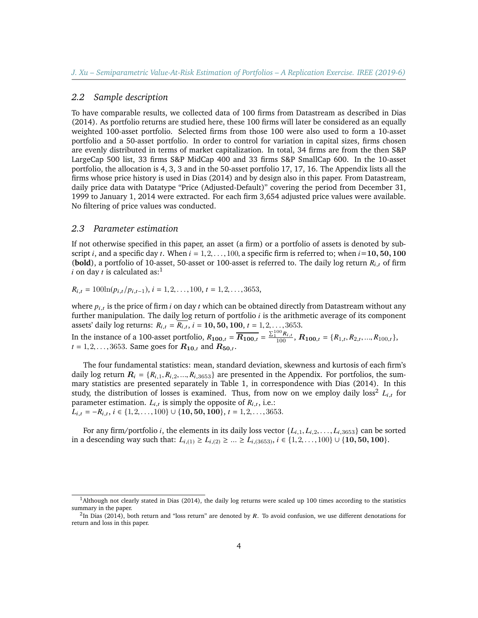#### *2.2 Sample description*

To have comparable results, we collected data of 100 firms from Datastream as described in Dias (2014). As portfolio returns are studied here, these 100 firms will later be considered as an equally weighted 100-asset portfolio. Selected firms from those 100 were also used to form a 10-asset portfolio and a 50-asset portfolio. In order to control for variation in capital sizes, firms chosen are evenly distributed in terms of market capitalization. In total, 34 firms are from the then S&P LargeCap 500 list, 33 firms S&P MidCap 400 and 33 firms S&P SmallCap 600. In the 10-asset portfolio, the allocation is 4, 3, 3 and in the 50-asset portfolio 17, 17, 16. The Appendix lists all the firms whose price history is used in Dias (2014) and by design also in this paper. From Datastream, daily price data with Datatype "Price (Adjusted-Default)" covering the period from December 31, 1999 to January 1, 2014 were extracted. For each firm 3,654 adjusted price values were available. No filtering of price values was conducted.

#### *2.3 Parameter estimation*

If not otherwise specified in this paper, an asset (a firm) or a portfolio of assets is denoted by subscript *i*, and a specific day *t*. When  $i = 1, 2, \ldots, 100$ , a specific firm is referred to; when  $i = 10, 50, 100$ (**bold**), a portfolio of 10-asset, 50-asset or 100-asset is referred to. The daily log return  $R_{i,t}$  of firm *i* on day *t* is calculated as:<sup>[1](#page-3-0)</sup>

 $R_{i,t} = 100\ln(p_{i,t}/p_{i,t-1}), i = 1, 2, \ldots, 100, t = 1, 2, \ldots, 3653,$ 

where  $p_{i,t}$  is the price of firm *i* on day *t* which can be obtained directly from Datastream without any  $f_{\text{tr}}$  that is the spithmetic average of its component further manipulation. The daily log return of portfolio *i* is the arithmetic average of its component assets' daily log returns:  $R_{i,t} = R_{i,t}$ ,  $i = 10, 50, 100, t = 1, 2, ..., 3653$ .

In the instance of a 100-asset portfolio,  $R_{100,t} = \overline{R_{100,t}} = \frac{\sum_{1}^{100} R_{i,t}}{100}$ ,  $R_{100,t} = \{R_{1,t}, R_{2,t}, ..., R_{100,t}\},$ <br>t = 1.2. ..., Same goes for  $R_{10}$ , and  $R_{10}$ .  $t = 1, 2, \ldots, 3653$ . Same goes for  $R_{10,t}$  and  $R_{50,t}$ .

The four fundamental statistics: mean, standard deviation, skewness and kurtosis of each firm's daily log return  $R_i = \{R_{i,1}, R_{i,2}, ..., R_{i,3653}\}\$  are presented in the Appendix. For portfolios, the summary statistics are presented separately in Table 1, in correspondence with Dias (2014). In this study, the distribution of losses is examined. Thus, from now on we employ daily loss<sup>[2](#page-3-1)</sup>  $L_{i,t}$  for parameter estimation.  $L_{i,t}$  is simply the opposite of  $R_{i,t}$ , i.e.:<br> $L = R_{i,t} \leq (1.2 \times 100) + (10.50 \times 100) + 1.2 \times 265$  $L_{i,t} = -R_{i,t}, i \in \{1, 2, \ldots, 100\} \cup \{10, 50, 100\}, t = 1, 2, \ldots, 3653.$ 

For any firm/portfolio *i*, the elements in its daily loss vector  $\{L_{i,1}, L_{i,2}, \ldots, L_{i,3653}\}$  can be sorted in a descending way such that:  $L_{i,(1)} \ge L_{i,(2)} \ge ... \ge L_{i,(3653)}$ ,  $i \in \{1,2,...,100\} \cup \{10,50,100\}$ .

<span id="page-3-0"></span> $<sup>1</sup>$ Although not clearly stated in Dias (2014), the daily log returns were scaled up 100 times according to the statistics</sup> summary in the paper.

<span id="page-3-1"></span> ${}^{2}$ In Dias (2014), both return and "loss return" are denoted by R. To avoid confusion, we use different denotations for return and loss in this paper.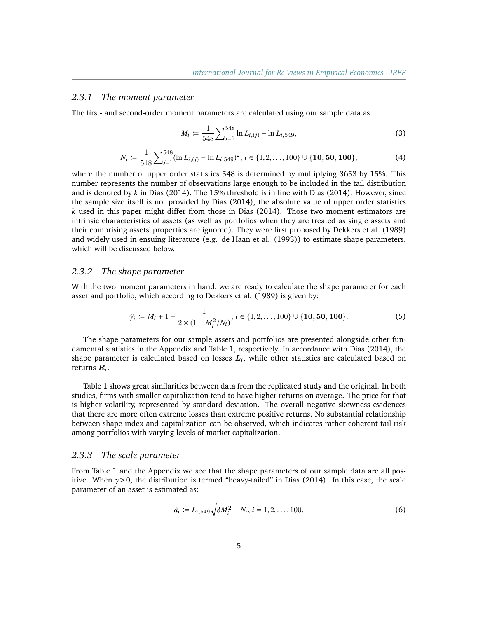#### *2.3.1 The moment parameter*

The first- and second-order moment parameters are calculated using our sample data as:

$$
M_i \coloneqq \frac{1}{548} \sum_{j=1}^{548} \ln L_{i,(j)} - \ln L_{i,549},\tag{3}
$$

$$
N_i \coloneqq \frac{1}{548} \sum_{j=1}^{548} (\ln L_{i,(j)} - \ln L_{i,549})^2, \, i \in \{1, 2, \dots, 100\} \cup \{10, 50, 100\},\tag{4}
$$

where the number of upper order statistics 548 is determined by multiplying 3653 by 15%. This number represents the number of observations large enough to be included in the tail distribution and is denoted by *k* in Dias (2014). The 15% threshold is in line with Dias (2014). However, since the sample size itself is not provided by Dias (2014), the absolute value of upper order statistics *k* used in this paper might differ from those in Dias (2014). Those two moment estimators are intrinsic characteristics of assets (as well as portfolios when they are treated as single assets and their comprising assets' properties are ignored). They were first proposed by Dekkers et al. (1989) and widely used in ensuing literature (e.g. de Haan et al. (1993)) to estimate shape parameters, which will be discussed below.

#### *2.3.2 The shape parameter*

With the two moment parameters in hand, we are ready to calculate the shape parameter for each asset and portfolio, which according to Dekkers et al. (1989) is given by:

$$
\hat{\gamma}_i := M_i + 1 - \frac{1}{2 \times (1 - M_i^2 / N_i)}, i \in \{1, 2, ..., 100\} \cup \{10, 50, 100\}.
$$
 (5)

The shape parameters for our sample assets and portfolios are presented alongside other fundamental statistics in the Appendix and Table 1, respectively. In accordance with Dias (2014), the shape parameter is calculated based on losses  $\boldsymbol{L}_{i},$  while other statistics are calculated based on returns  $\boldsymbol{R}_i.$ 

Table 1 shows great similarities between data from the replicated study and the original. In both studies, firms with smaller capitalization tend to have higher returns on average. The price for that is higher volatility, represented by standard deviation. The overall negative skewness evidences that there are more often extreme losses than extreme positive returns. No substantial relationship between shape index and capitalization can be observed, which indicates rather coherent tail risk among portfolios with varying levels of market capitalization.

#### *2.3.3 The scale parameter*

From Table 1 and the Appendix we see that the shape parameters of our sample data are all positive. When  $\gamma$  > 0, the distribution is termed "heavy-tailed" in Dias (2014). In this case, the scale parameter of an asset is estimated as:

$$
\hat{a}_i \coloneqq L_{i,549} \sqrt{3M_i^2 - N_i}, \, i = 1, 2, \dots, 100. \tag{6}
$$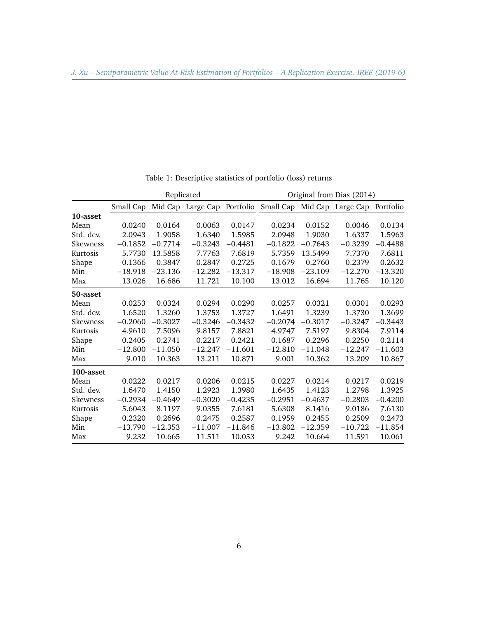|           |           |           | Replicated                    |           |           |           | Original from Dias (2014) |           |
|-----------|-----------|-----------|-------------------------------|-----------|-----------|-----------|---------------------------|-----------|
|           | Small Cap | Mid Cap   | Large Cap Portfolio Small Cap |           |           | Mid Cap   | Large Cap                 | Portfolio |
| 10-asset  |           |           |                               |           |           |           |                           |           |
| Mean      | 0.0240    | 0.0164    | 0.0063                        | 0.0147    | 0.0234    | 0.0152    | 0.0046                    | 0.0134    |
| Std. dev. | 2.0943    | 1.9058    | 1.6340                        | 1.5985    | 2.0948    | 1.9030    | 1.6337                    | 1.5963    |
| Skewness  | $-0.1852$ | $-0.7714$ | $-0.3243$                     | $-0.4481$ | $-0.1822$ | $-0.7643$ | $-0.3239$                 | $-0.4488$ |
| Kurtosis  | 5.7730    | 13.5858   | 7.7763                        | 7.6819    | 5.7359    | 13.5499   | 7.7370                    | 7.6811    |
| Shape     | 0.1366    | 0.3847    | 0.2847                        | 0.2725    | 0.1679    | 0.2760    | 0.2379                    | 0.2632    |
| Min       | $-18.918$ | $-23.136$ | $-12.282$                     | $-13.317$ | $-18.908$ | $-23.109$ | $-12.270$                 | $-13.320$ |
| Max       | 13.026    | 16.686    | 11.721                        | 10.100    | 13.012    | 16.694    | 11.765                    | 10.120    |
| 50-asset  |           |           |                               |           |           |           |                           |           |
| Mean      | 0.0253    | 0.0324    | 0.0294                        | 0.0290    | 0.0257    | 0.0321    | 0.0301                    | 0.0293    |
| Std. dev. | 1.6520    | 1.3260    | 1.3753                        | 1.3727    | 1.6491    | 1.3239    | 1.3730                    | 1.3699    |
| Skewness  | $-0.2060$ | $-0.3027$ | $-0.3246$                     | $-0.3432$ | $-0.2074$ | $-0.3017$ | $-0.3247$                 | $-0.3443$ |
| Kurtosis  | 4.9610    | 7.5096    | 9.8157                        | 7.8821    | 4.9747    | 7.5197    | 9.8304                    | 7.9114    |
| Shape     | 0.2405    | 0.2741    | 0.2217                        | 0.2421    | 0.1687    | 0.2296    | 0.2250                    | 0.2114    |
| Min       | $-12.800$ | $-11.050$ | $-12.247$                     | $-11.601$ | $-12.810$ | $-11.048$ | $-12.247$                 | $-11.603$ |
| Max       | 9.010     | 10.363    | 13.211                        | 10.871    | 9.001     | 10.362    | 13.209                    | 10.867    |
| 100-asset |           |           |                               |           |           |           |                           |           |
| Mean      | 0.0222    | 0.0217    | 0.0206                        | 0.0215    | 0.0227    | 0.0214    | 0.0217                    | 0.0219    |
| Std. dev. | 1.6470    | 1.4150    | 1.2923                        | 1.3980    | 1.6435    | 1.4123    | 1.2798                    | 1.3925    |
| Skewness  | $-0.2934$ | $-0.4649$ | $-0.3020$                     | $-0.4235$ | $-0.2951$ | $-0.4637$ | $-0.2803$                 | $-0.4200$ |
| Kurtosis  | 5.6043    | 8.1197    | 9.0355                        | 7.6181    | 5.6308    | 8.1416    | 9.0186                    | 7.6130    |
| Shape     | 0.2320    | 0.2696    | 0.2475                        | 0.2587    | 0.1959    | 0.2455    | 0.2509                    | 0.2473    |
| Min       | $-13.790$ | $-12.353$ | $-11.007$                     | $-11.846$ | $-13.802$ | $-12.359$ | $-10.722$                 | $-11.854$ |
| Max       | 9.232     | 10.665    | 11.511                        | 10.053    | 9.242     | 10.664    | 11.591                    | 10.061    |

Table 1: Descriptive statistics of portfolio (loss) returns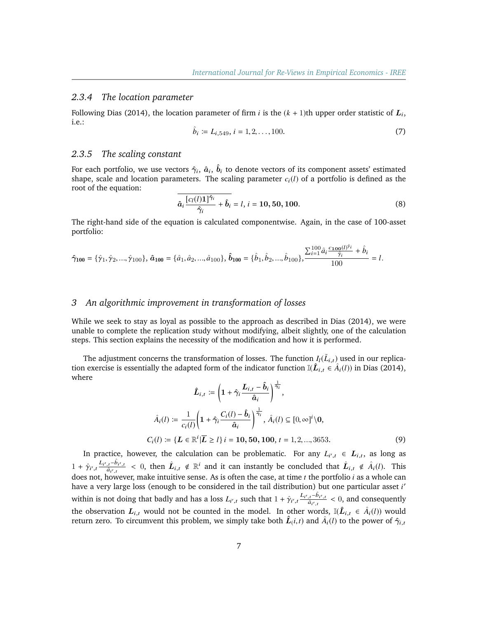#### *2.3.4 The location parameter*

Following Dias (2014), the location parameter of firm  $i$  is the  $(k + 1)$ th upper order statistic of  $L_i$ , i.e.:

$$
\hat{b}_i := L_{i,549}, \, i = 1, 2, \dots, 100. \tag{7}
$$

#### *2.3.5 The scaling constant*

For each portfolio, we use vectors  $\hat{\gamma}_i$ ,  $\hat{a}_i$ ,  $\hat{b}_i$  to denote vectors of its component assets' estimated shape, scale and location parameters. The scaling parameter  $c_i(l)$  of a portfolio is defined as the root of the equation:

$$
\overline{\hat{a}_i \frac{[c_l(l)\mathbf{1}]\hat{\gamma}_i}{\hat{\gamma}_i} + \hat{b}_i} = l, i = 10, 50, 100.
$$
 (8)

The right-hand side of the equation is calculated componentwise. Again, in the case of 100-asset portfolio:

$$
\hat{\gamma}_{100} = \{\hat{\gamma}_1, \hat{\gamma}_2, ..., \hat{\gamma}_{100}\}, \, \hat{\boldsymbol{a}}_{100} = \{\hat{a}_1, \hat{a}_2, ..., \hat{a}_{100}\}, \, \hat{\boldsymbol{b}}_{100} = \{\hat{b}_1, \hat{b}_2, ..., \hat{b}_{100}\}, \frac{\sum_{i=1}^{100} \hat{a}_i \frac{c_{100}(I)^{\hat{\gamma}_i}}{\hat{\gamma}_i} + \hat{b}_i}{100} = I.
$$

#### *3 An algorithmic improvement in transformation of losses*

While we seek to stay as loyal as possible to the approach as described in Dias (2014), we were unable to complete the replication study without modifying, albeit slightly, one of the calculation steps. This section explains the necessity of the modification and how it is performed.

The adjustment concerns the transformation of losses. The function  $I_l(\tilde{L}_{i,t})$  used in our replica-<br>i, exercise is essentially the adapted form of the indicator function  $I_l(\tilde{L}_{i,t})$  used in Dias (2014) tion exercise is essentially the adapted form of the indicator function  $\mathbb{I}(\hat{L}_{i,t} \in \hat{A}_i(l))$  in Dias (2014), where

$$
\hat{L}_{i,t} := \left(1 + \hat{\gamma}_i \frac{L_{i,t} - \hat{b}_i}{\hat{a}_i}\right)^{\frac{1}{\hat{\gamma}_i}},
$$
\n
$$
\hat{A}_i(l) := \frac{1}{c_i(l)} \left(1 + \hat{\gamma}_i \frac{C_i(l) - \hat{b}_i}{\hat{a}_i}\right)^{\frac{1}{\hat{\gamma}_i}}, \hat{A}_i(l) \subseteq [0, \infty]^i \setminus 0,
$$
\n
$$
C_i(l) := \{L \in \mathbb{R}^i | \overline{L} \ge l\} \, i = 10, 50, 100, t = 1, 2, ..., 3653.
$$
\n
$$
(9)
$$

In practice, however, the calculation can be problematic. For any  $L_{i',t} \in L_{i,t}$ , as long as  $1 + \hat{\gamma}_{i',t} \frac{L_{i',t} - \hat{b}_{i',t}}{\hat{a}_{i',t}} < 0$ , then  $\hat{L}_{i,t} \notin \mathbb{R}^i$  and it can instantly be concluded that  $\hat{L}_{i,t} \notin \hat{A}_i(l)$ . This does not, however, make intuitive sense. As is often the case, at time *t* the portfolio *i* as a whole can have a very large loss (enough to be considered in the tail distribution) but one particular asset *i'* within is not doing that badly and has a loss  $L_{i',t}$  such that  $1 + \hat{\gamma}_{i',t} \frac{L_{i',t} - \hat{b}_{i',t}}{\hat{a}_{i',t}} < 0$ , and consequently the observation  $L_{i,t}$  would not be counted in the model. In other words,  $\mathbb{I}(\hat{L}_{i,t} \in \hat{A}_i(l))$  would return zero. To circumvent this problem, we simply take both  $\hat{L}_{(i,t)}$  and  $\hat{A}_{i}(l)$  to the power of  $\hat{\gamma}_{i,t}$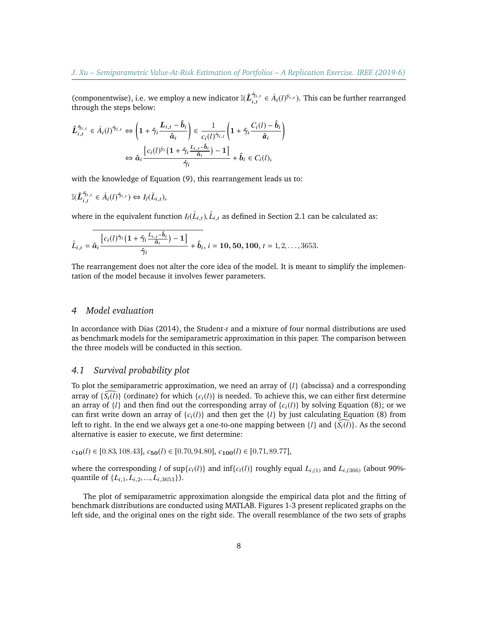(componentwise), i.e. we employ a new indicator  $\mathbb{I}(\hat{L}_{i,t}^{\hat{\gamma}_{i,t}})$  $\hat{\gamma}_{i,t}$   $\in \hat{A}_i(l)^{\hat{y}_{i,t}}$ ). This can be further rearranged through the steps below:

$$
\hat{L}_{i,t}^{\hat{\gamma}_{i,t}} \in \hat{A}_i(l)^{\hat{\gamma}_{i,t}} \Leftrightarrow \left(1 + \hat{\gamma}_i \frac{L_{i,t} - \hat{b}_i}{\hat{a}_i}\right) \in \frac{1}{c_i(l)^{\hat{\gamma}_{i,t}}} \left(1 + \hat{\gamma}_i \frac{C_i(l) - \hat{b}_i}{\hat{a}_i}\right)
$$

$$
\Leftrightarrow \hat{a}_i \frac{\left[c_i(l)^{\hat{\gamma}_i} \left(1 + \hat{\gamma}_i \frac{L_{i,t} - \hat{b}_i}{\hat{a}_i}\right) - 1\right]}{\hat{\gamma}_i} + \hat{b}_i \in C_i(l),
$$

with the knowledge of Equation (9), this rearrangement leads us to:

$$
\mathbb{I}(\hat{L}_{i,t}^{\hat{\gamma}_{i,t}} \in \hat{A}_i(l)^{\hat{\gamma}_{i,t}}) \Leftrightarrow I_l(\tilde{L}_{i,t}),
$$

where in the equivalent function  $I_l(\tilde{L}_{i,t})$ ,  $\tilde{L}_{i,t}$  as defined in Section 2.1 can be calculated as:

$$
\tilde{L}_{i,t} = \hat{a}_i \frac{\left[c_i(l)\hat{\gamma}_i \left(1 + \hat{\gamma}_i \frac{L_{i,t} - \hat{b}_i}{\hat{a}_i}\right) - 1\right]}{\hat{\gamma}_i} + \hat{b}_i, i = 10, 50, 100, t = 1, 2, \ldots, 3653.
$$

The rearrangement does not alter the core idea of the model. It is meant to simplify the implementation of the model because it involves fewer parameters.

# *4 Model evaluation*

In accordance with Dias (2014), the Student-*t* and a mixture of four normal distributions are used as benchmark models for the semiparametric approximation in this paper. The comparison between the three models will be conducted in this section.

# *4.1 Survival probability plot*

To plot the semiparametric approximation, we need an array of  $\{l\}$  (abscissa) and a corresponding array of  $\{\bar{S}_i(\bar{l})\}$  (ordinate) for which  $\{c_i(\bar{l})\}$  is needed. To achieve this, we can either first determine an array of  $\{l\}$  and then find out the corresponding array of  $\{c_i(l)\}$  by solving Equation (8); or we can first write down an array of  ${c_i(l)}$  and then get the  ${l}$  by just calculating Equation (8) from left to right. In the end we always get a one-to-one mapping between  $\{l\}$  and  $\{S_{\ell}(l)\}$ . As the second alternative is easier to execute, we first determine:

$$
c_{10}(l) \in [0.83, 108.43], c_{50}(l) \in [0.70, 94.80], c_{100}(l) \in [0.71, 89.77],
$$

where the corresponding *l* of sup{ $c_i(l)$ } and inf{ $c_i(l)$ } roughly equal  $L_{i,(1)}$  and  $L_{i,(366)}$  (about 90%quantile of {*L*i,1, *<sup>L</sup>*i,2, ..., *<sup>L</sup>*i,3653}).

The plot of semiparametric approximation alongside the empirical data plot and the fitting of benchmark distributions are conducted using MATLAB. Figures 1-3 present replicated graphs on the left side, and the original ones on the right side. The overall resemblance of the two sets of graphs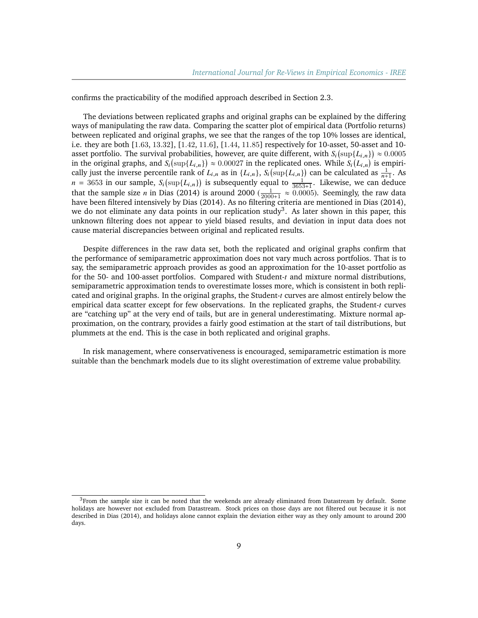confirms the practicability of the modified approach described in Section 2.3.

The deviations between replicated graphs and original graphs can be explained by the differing ways of manipulating the raw data. Comparing the scatter plot of empirical data (Portfolio returns) between replicated and original graphs, we see that the ranges of the top 10% losses are identical, i.e. they are both [1.63, <sup>13</sup>.32], [1.42, <sup>11</sup>.6], [1.44, <sup>11</sup>.85] respectively for 10-asset, 50-asset and 10 asset portfolio. The survival probabilities, however, are quite different, with  $S_i(\sup\{L_{i,n}\})$ asset portfolio. The survival probabilities, however, are quite different, with  $S_i$  (sup{ $L_{i,n}$ )  $\approx 0.0005$ <br>in the original graphs, and  $S_i$  (sup{ $L_{i,n}$ )  $\approx 0.00027$  in the replicated ones. While  $S_i$  ( $L_{i,n}$ ) is em cally just the inverse percentile rank of  $L_{i,n}$  as in  $\{L_{i,n}\}$ ,  $S_i$ (sup $\{L_{i,n}\}$ ) can be calculated as  $\frac{1}{n+1}$ . As  $n = 3653$  in our sample,  $S_i$ (sup{ $L_{i,n}$ )) is subsequently equal to  $\frac{1}{3653+1}$ . Likewise, we can deduce that the sample size *n* in Dias (2014) is around 2000 ( $\frac{1}{2000+1} \approx 0.0005$ ). Seemingly, the raw data have been filtered intensively by Dias (2014) As no filtering criteria are mentioned in Dias (2014) have been filtered intensively by Dias (2014). As no filtering criteria are mentioned in Dias (2014), we do not eliminate any data points in our replication study<sup>[3](#page-8-0)</sup>. As later shown in this paper, this unknown filtering does not appear to yield biased results, and deviation in input data does not cause material discrepancies between original and replicated results.

Despite differences in the raw data set, both the replicated and original graphs confirm that the performance of semiparametric approximation does not vary much across portfolios. That is to say, the semiparametric approach provides as good an approximation for the 10-asset portfolio as for the 50- and 100-asset portfolios. Compared with Student-*t* and mixture normal distributions, semiparametric approximation tends to overestimate losses more, which is consistent in both replicated and original graphs. In the original graphs, the Student-*t* curves are almost entirely below the empirical data scatter except for few observations. In the replicated graphs, the Student-*t* curves are "catching up" at the very end of tails, but are in general underestimating. Mixture normal approximation, on the contrary, provides a fairly good estimation at the start of tail distributions, but plummets at the end. This is the case in both replicated and original graphs.

In risk management, where conservativeness is encouraged, semiparametric estimation is more suitable than the benchmark models due to its slight overestimation of extreme value probability.

<span id="page-8-0"></span> $3$ From the sample size it can be noted that the weekends are already eliminated from Datastream by default. Some holidays are however not excluded from Datastream. Stock prices on those days are not filtered out because it is not described in Dias (2014), and holidays alone cannot explain the deviation either way as they only amount to around 200 days.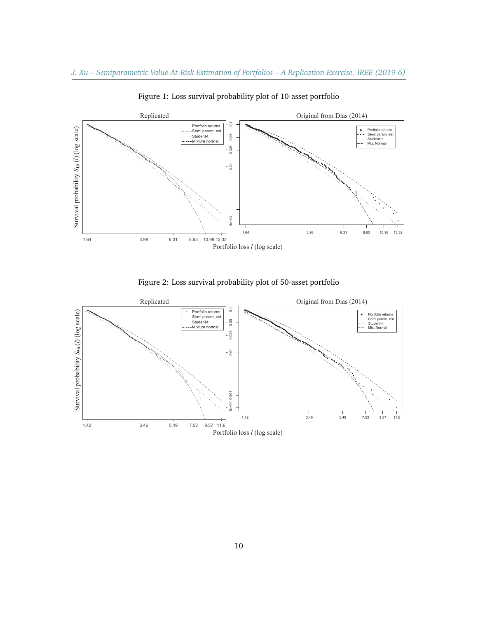

Figure 1: Loss survival probability plot of 10-asset portfolio

Figure 2: Loss survival probability plot of 50-asset portfolio

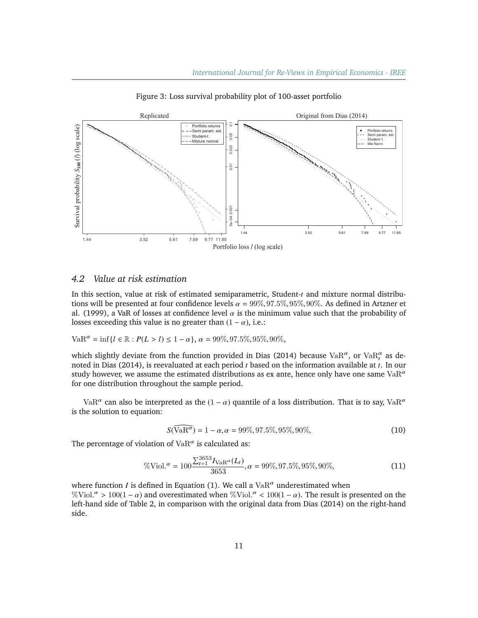

Figure 3: Loss survival probability plot of 100-asset portfolio

# *4.2 Value at risk estimation*

In this section, value at risk of estimated semiparametric, Student-*t* and mixture normal distributions will be presented at four confidence levels  $\alpha = 99\%, 97.5\%, 95\%, 90\%$ . As defined in Artzner et al. (1999), a VaR of losses at confidence level  $\alpha$  is the minimum value such that the probability of losses exceeding this value is no greater than  $(1 - \alpha)$ , i.e.:

VaR<sup>$$
\alpha
$$</sup> = inf{ $l \in \mathbb{R}$  :  $P(L > l) \le 1 - \alpha$ },  $\alpha = 99\%, 97.5\%, 95\%, 90\%,$ 

which slightly deviate from the function provided in Dias (2014) because Va $\mathrm{R}^\alpha$ , or Va $\mathrm{R}^\alpha_t$  as denoted in Dias (2014), is reevaluated at each period *t* based on the information available at *t*. In our study however, we assume the estimated distributions as ex ante, hence only have one same Va $\mathbb{R}^{\alpha}$ for one distribution throughout the sample period.

VaR<sup>α</sup> can also be interpreted as the  $(1 - \alpha)$  quantile of a loss distribution. That is to say, VaR<sup>α</sup><br>ne solution to equation: is the solution to equation:

$$
S(\text{VaR}^{\alpha}) = 1 - \alpha, \alpha = 99\%, 97.5\%, 95\%, 90\%,\tag{10}
$$

The percentage of violation of  $\mathrm {VaR}^\alpha$  is calculated as:

$$
\% \text{Viol.}^{\alpha} = 100 \frac{\sum_{t=1}^{3653} I_{\text{VaR}^{\alpha}}(L_t)}{3653}, \alpha = 99\%, 97.5\%, 95\%, 90\%,\tag{11}
$$

where function *I* is defined in Equation (1). We call a  $VaR<sup>\alpha</sup>$  underestimated when  $\%$ Viol. $\alpha > 100(1 - \alpha)$  and overestimated when  $\%$ Viol. $\alpha < 100(1 - \alpha)$ . The result is presented on the left-hand side of Table 2 in comparison with the original data from Dias (2014) on the right-hand left-hand side of Table 2, in comparison with the original data from Dias (2014) on the right-hand side.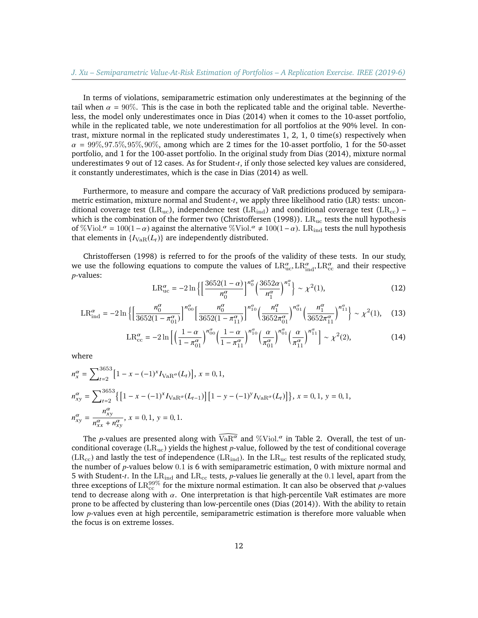In terms of violations, semiparametric estimation only underestimates at the beginning of the tail when  $\alpha = 90\%$ . This is the case in both the replicated table and the original table. Nevertheless, the model only underestimates once in Dias (2014) when it comes to the 10-asset portfolio, while in the replicated table, we note underestimation for all portfolios at the 90% level. In contrast, mixture normal in the replicated study underestimates 1, 2, 1, 0 time(s) respectively when  $\alpha = 99\%, 97.5\%, 95\%, 90\%$ , among which are 2 times for the 10-asset portfolio, 1 for the 50-asset portfolio, and 1 for the 100-asset portfolio. In the original study from Dias (2014), mixture normal underestimates 9 out of 12 cases. As for Student-*t*, if only those selected key values are considered, it constantly underestimates, which is the case in Dias (2014) as well.

Furthermore, to measure and compare the accuracy of VaR predictions produced by semiparametric estimation, mixture normal and Student-*t*, we apply three likelihood ratio (LR) tests: unconditional coverage test (LR<sub>uc</sub>), independence test (LR<sub>ind</sub>) and conditional coverage test (LR<sub>cc</sub>) – which is the combination of the former two (Christoffersen (1998)).  $LR_{uc}$  tests the null hypothesis of %Viol.<sup> $\alpha$ </sup> = 100(1 –  $\alpha$ ) against the alternative %Viol.<sup> $\alpha$ </sup> ≠ 100(1 –  $\alpha$ ). LR<sub>ind</sub> tests the null hypothesis that elements in  $I_{N}$  o(L)) are independently distributed that elements in  ${I_{VaB}(L_t)}$  are independently distributed.

Christoffersen (1998) is referred to for the proofs of the validity of these tests. In our study, we use the following equations to compute the values of  $LR_{uc}^{\alpha}$ ,  $LR_{ind}^{\alpha}$ ,  $LR_{cc}^{\alpha}$  and their respective n-values: *p*-values:

$$
LR_{\text{uc}}^{\alpha} = -2 \ln \left\{ \left[ \frac{3652(1-\alpha)}{n_0^{\alpha}} \right]^{n_0^{\alpha}} \left( \frac{3652\alpha}{n_1^{\alpha}} \right)^{n_1^{\alpha}} \right\} \sim \chi^2(1),\tag{12}
$$

$$
LR_{\text{ind}}^{\alpha} = -2 \ln \left\{ \left[ \frac{n_0^{\alpha}}{3652(1 - \pi_{01}^{\alpha})} \right]^{n_{00}^{\alpha}} \left[ \frac{n_0^{\alpha}}{3652(1 - \pi_{11}^{\alpha})} \right]^{n_{10}^{\alpha}} \left( \frac{n_1^{\alpha}}{3652\pi_{01}^{\alpha}} \right)^{n_{01}^{\alpha}} \left( \frac{n_1^{\alpha}}{3652\pi_{11}^{\alpha}} \right)^{n_{11}^{\alpha}} \right\} \sim \chi^2(1), \quad (13)
$$

$$
LR_{cc}^{\alpha} = -2\ln\left[\left(\frac{1-\alpha}{1-\pi_{01}^{\alpha}}\right)^{n_{00}^{\alpha}}\left(\frac{1-\alpha}{1-\pi_{11}^{\alpha}}\right)^{n_{10}^{\alpha}}\left(\frac{\alpha}{\pi_{01}^{\alpha}}\right)^{n_{01}^{\alpha}}\left(\frac{\alpha}{\pi_{11}^{\alpha}}\right)^{n_{11}^{\alpha}}\right] \sim \chi^{2}(2),\tag{14}
$$

where

$$
n_x^{\alpha} = \sum_{t=2}^{3653} \left[ 1 - x - (-1)^x I_{\text{VaR}^{\alpha}}(L_t) \right], x = 0, 1,
$$
  
\n
$$
n_{xy}^{\alpha} = \sum_{t=2}^{3653} \left\{ \left[ 1 - x - (-1)^x I_{\text{VaR}^{\alpha}}(L_{t-1}) \right] \left[ 1 - y - (-1)^y I_{\text{VaR}^{\alpha}}(L_t) \right] \right\}, x = 0, 1, y = 0, 1,
$$
  
\n
$$
n_{xy}^{\alpha} = \frac{n_{xy}^{\alpha}}{n_{xx}^{\alpha} + n_{xy}^{\alpha}}, x = 0, 1, y = 0, 1.
$$

The *p*-values are presented along with  $VaR^{\alpha}$  and  $\%$ Viol.<sup> $\alpha$ </sup> in Table 2. Overall, the test of un-<br>ditional coverage (LB, ) vields the highest n-value, followed by the test of conditional coverage conditional coverage (LRuc) yields the highest *p*-value, followed by the test of conditional coverage  $(LR_{cc})$  and lastly the test of independence  $(LR_{ind})$ . In the  $LR_{uc}$  test results of the replicated study, the number of *<sup>p</sup>*-values below <sup>0</sup>.<sup>1</sup> is 6 with semiparametric estimation, 0 with mixture normal and 5 with Student-t. In the LR<sub>ind</sub> and LR<sub>cc</sub> tests, *p*-values lie generally at the 0.1 level, apart from the three exceptions of  $\text{LR}_{\text{cc}}^{99\%}$  for the mixture normal estimation. It can also be observed that *p*-values tend to decrease along with  $\alpha$ . One interpretation is that high-percentile VaR estimates are more prone to be affected by clustering than low-percentile ones (Dias (2014)). With the ability to retain low *p*-values even at high percentile, semiparametric estimation is therefore more valuable when the focus is on extreme losses.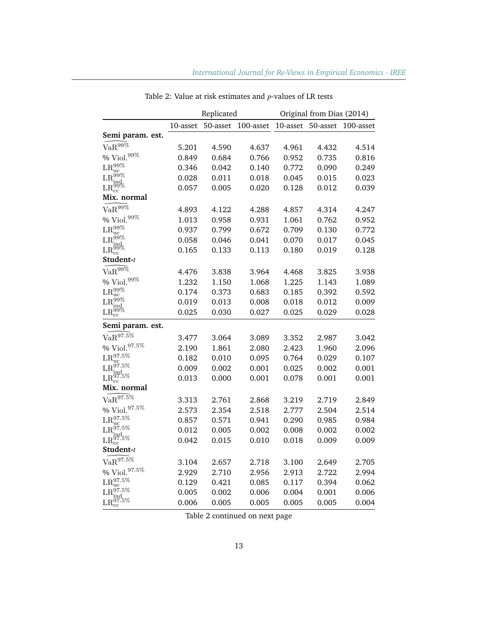|                                                                                              |          | Replicated |           |          | Original from Dias (2014) |           |
|----------------------------------------------------------------------------------------------|----------|------------|-----------|----------|---------------------------|-----------|
|                                                                                              | 10-asset | 50-asset   | 100-asset | 10-asset | 50-asset                  | 100-asset |
| Semi param. est.                                                                             |          |            |           |          |                           |           |
| $VaR^{99\%}$                                                                                 | 5.201    | 4.590      | 4.637     | 4.961    | 4.432                     | 4.514     |
| $\%$ Viol. $^{99\%}$                                                                         | 0.849    | 0.684      | 0.766     | 0.952    | 0.735                     | 0.816     |
| $\mathrm{LR^{99 \%}_{uc}}$                                                                   | 0.346    | 0.042      | 0.140     | 0.772    | 0.090                     | 0.249     |
|                                                                                              | 0.028    | 0.011      | 0.018     | 0.045    | 0.015                     | 0.023     |
| $\mathrm{LR^{99\%}_{ind}}\ \mathrm{LR^{99\%}_{cc}}$                                          | 0.057    | 0.005      | 0.020     | 0.128    | 0.012                     | 0.039     |
| Mix. normal                                                                                  |          |            |           |          |                           |           |
| $\text{VaR}^{\widetilde{99\%}}$                                                              | 4.893    | 4.122      | 4.288     | 4.857    | 4.314                     | 4.247     |
| $\%$ Viol. $^{99\%}$                                                                         | 1.013    | 0.958      | 0.931     | 1.061    | 0.762                     | 0.952     |
| $\mathrm{LR^{99 \%}_{uc}}$                                                                   | 0.937    | 0.799      | 0.672     | 0.709    | 0.130                     | 0.772     |
| $\mathrm{LR^{99\%}_{ind}}\ \mathrm{LR^{99\%}_{cc}}$                                          | 0.058    | 0.046      | 0.041     | 0.070    | 0.017                     | 0.045     |
|                                                                                              | 0.165    | 0.133      | 0.113     | 0.180    | 0.019                     | 0.128     |
| Student-t                                                                                    |          |            |           |          |                           |           |
| $VaR^{99\bar{\%}}$                                                                           | 4.476    | 3.838      | 3.964     | 4.468    | 3.825                     | 3.938     |
| $\%$ Viol. $^{99\%}$                                                                         | 1.232    | 1.150      | 1.068     | 1.225    | 1.143                     | 1.089     |
| $\mathrm{LR^{99\%}_{uc}}$                                                                    | 0.174    | 0.373      | 0.683     | 0.185    | 0.392                     | 0.592     |
| $\mathrm{LR}_{\mathrm{ind}}^{\overline{99}\%} \ \mathrm{LR}_{\mathrm{cc}}^{\overline{99}\%}$ | 0.019    | 0.013      | 0.008     | 0.018    | 0.012                     | 0.009     |
|                                                                                              | 0.025    | 0.030      | 0.027     | 0.025    | 0.029                     | 0.028     |
| Semi param. est.                                                                             |          |            |           |          |                           |           |
| $\text{VaR}^{97.\overline{5}\%}$                                                             | 3.477    | 3.064      | 3.089     | 3.352    | 2.987                     | 3.042     |
| $\%$ Viol. $^{97.5\%}$                                                                       | 2.190    | 1.861      | 2.080     | 2.423    | 1.960                     | 2.096     |
| $LR_{\mathrm{uc}}^{97.5\%}$                                                                  | 0.182    | 0.010      | 0.095     | 0.764    | 0.029                     | 0.107     |
| $LR^{97.5\%}$<br>ind                                                                         | 0.009    | 0.002      | 0.001     | 0.025    | 0.002                     | 0.001     |
| $\text{LR}_{\text{cc}}^{\tilde{97.5\%}}$                                                     | 0.013    | 0.000      | 0.001     | 0.078    | 0.001                     | 0.001     |
| Mix. normal                                                                                  |          |            |           |          |                           |           |
| $\text{VaR}^{97.\overline{5}\%}$                                                             | 3.313    | 2.761      | 2.868     | 3.219    | 2.719                     | 2.849     |
| $\%$ Viol. $^{97.5\%}$                                                                       | 2.573    | 2.354      | 2.518     | 2.777    | 2.504                     | 2.514     |
| $LR_{\rm uc}^{97.5\%}$                                                                       | 0.857    | 0.571      | 0.941     | 0.290    | 0.985                     | 0.984     |
| $\rm{R^{97.5\%}_{ind_{\nu\alpha}}}$                                                          | 0.012    | 0.005      | 0.002     | 0.008    | 0.002                     | 0.002     |
| $\text{LR}_{\text{cc}}^{\overset{\text{iid}}{\text{07.5}}\%}$                                | 0.042    | 0.015      | 0.010     | 0.018    | 0.009                     | 0.009     |
| Student-t                                                                                    |          |            |           |          |                           |           |
| $\text{VaR}^{97.\overline{5}\%}$                                                             | 3.104    | 2.657      | 2.718     | 3.100    | 2.649                     | 2.705     |
| $\%$ Viol. $^{97.5\%}$                                                                       | 2.929    | 2.710      | 2.956     | 2.913    | 2.722                     | 2.994     |
| $\mathrm{LR^{97.5\%}_{uc}}$                                                                  | 0.129    | 0.421      | 0.085     | 0.117    | 0.394                     | 0.062     |
| $\mathrm{LR}_{\mathrm{ind}}^{97.5\%} \ \mathrm{LR}_{\mathrm{cc}}^{97.5\%}$                   | 0.005    | 0.002      | 0.006     | 0.004    | 0.001                     | 0.006     |
|                                                                                              | 0.006    | 0.005      | 0.005     | 0.005    | 0.005                     | 0.004     |

Table 2: Value at risk estimates and *p*-values of LR tests

Table 2 continued on next page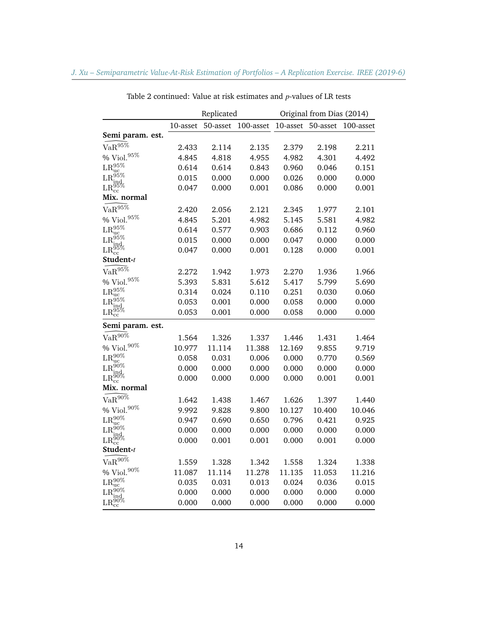|                                                                        |          | Replicated |           |          | Original from Dias (2014) |           |
|------------------------------------------------------------------------|----------|------------|-----------|----------|---------------------------|-----------|
|                                                                        | 10-asset | 50-asset   | 100-asset | 10-asset | 50-asset                  | 100-asset |
| Semi param. est.                                                       |          |            |           |          |                           |           |
| $VaR^{95\%}$                                                           | 2.433    | 2.114      | 2.135     | 2.379    | 2.198                     | 2.211     |
| $\%$ Viol. $^{95\%}$                                                   | 4.845    | 4.818      | 4.955     | 4.982    | 4.301                     | 4.492     |
| $\mathrm{LR}_{\mathrm{uc}}^{95\%}$                                     | 0.614    | 0.614      | 0.843     | 0.960    | 0.046                     | 0.151     |
| $LR_{ind.}^{95\%}$                                                     | 0.015    | 0.000      | 0.000     | 0.026    | 0.000                     | 0.000     |
| ${\rm LR_{cc}^{95\%}}$                                                 | 0.047    | 0.000      | 0.001     | 0.086    | 0.000                     | 0.001     |
| Mix. normal                                                            |          |            |           |          |                           |           |
| $VaR^{95\%}$                                                           | 2.420    | 2.056      | 2.121     | 2.345    | 1.977                     | 2.101     |
| $\%$ Viol. $^{95\%}$                                                   | 4.845    | 5.201      | 4.982     | 5.145    | 5.581                     | 4.982     |
| $LR_{\mathrm{uc}}^{95\%}$                                              | 0.614    | 0.577      | 0.903     | 0.686    | 0.112                     | 0.960     |
| $LR_{ind}^{95\%}$                                                      | 0.015    | 0.000      | 0.000     | 0.047    | 0.000                     | 0.000     |
| ${\rm LR_{cc}^{95\%}}$                                                 | 0.047    | 0.000      | 0.001     | 0.128    | 0.000                     | 0.001     |
| Student-t                                                              |          |            |           |          |                           |           |
| $VaR^{95\%}$                                                           | 2.272    | 1.942      | 1.973     | 2.270    | 1.936                     | 1.966     |
| $\%$ Viol. $^{95\%}$                                                   | 5.393    | 5.831      | 5.612     | 5.417    | 5.799                     | 5.690     |
| $LR_{\mathrm{uc}}^{95\%}$                                              | 0.314    | 0.024      | 0.110     | 0.251    | 0.030                     | 0.060     |
| ${\rm R^{95\%}}$                                                       | 0.053    | 0.001      | 0.000     | 0.058    | 0.000                     | 0.000     |
| ${\rm LR}_{\rm cc}^{95\%}$                                             | 0.053    | 0.001      | 0.000     | 0.058    | 0.000                     | 0.000     |
| Semi param. est.                                                       |          |            |           |          |                           |           |
| $VaR^{90\%}$                                                           | 1.564    | 1.326      | 1.337     | 1.446    | 1.431                     | 1.464     |
| $\%$ Viol. $^{90\%}$                                                   | 10.977   | 11.114     | 11.388    | 12.169   | 9.855                     | 9.719     |
| $\mathrm{LR^{90\%}_{uc}}$                                              | 0.058    | 0.031      | 0.006     | 0.000    | 0.770                     | 0.569     |
| $\mathrm{LR}_{\mathrm{ind}}^{90\%} \ \mathrm{LR}_{\mathrm{cc}}^{90\%}$ | 0.000    | 0.000      | 0.000     | 0.000    | 0.000                     | 0.000     |
|                                                                        | 0.000    | 0.000      | 0.000     | 0.000    | 0.001                     | 0.001     |
| Mix. normal                                                            |          |            |           |          |                           |           |
| $VaR^{90\%}$                                                           | 1.642    | 1.438      | 1.467     | 1.626    | 1.397                     | 1.440     |
| $\%$ Viol. $^{90\%}$                                                   | 9.992    | 9.828      | 9.800     | 10.127   | 10.400                    | 10.046    |
| $LR_{\mathrm{uc}}^{90\%}$                                              | 0.947    | 0.690      | 0.650     | 0.796    | 0.421                     | 0.925     |
|                                                                        | 0.000    | 0.000      | 0.000     | 0.000    | 0.000                     | 0.000     |
| $\mathrm{LR^{90\%}_{ind}}_{\mathrm{LR^{90\%}_{cc}}}$                   | 0.000    | 0.001      | 0.001     | 0.000    | 0.001                     | 0.000     |
| Student-t                                                              |          |            |           |          |                           |           |
| $\text{VaR}^{90\%}$                                                    | 1.559    | 1.328      | 1.342     | 1.558    | 1.324                     | 1.338     |
| $\%$ Viol. $^{90\%}$                                                   | 11.087   | 11.114     | 11.278    | 11.135   | 11.053                    | 11.216    |
| $LR_{\mathrm{uc}}^{90\%}$                                              | 0.035    | 0.031      | 0.013     | 0.024    | 0.036                     | 0.015     |
| $R^{90\%}$                                                             | 0.000    | 0.000      | 0.000     | 0.000    | 0.000                     | 0.000     |
| $\overset{\text{L11}_{\text{ind}}}{\text{LR}_{\text{cc}}^{90\%}}$      | 0.000    | 0.000      | 0.000     | 0.000    | 0.000                     | 0.000     |

Table 2 continued: Value at risk estimates and *p*-values of LR tests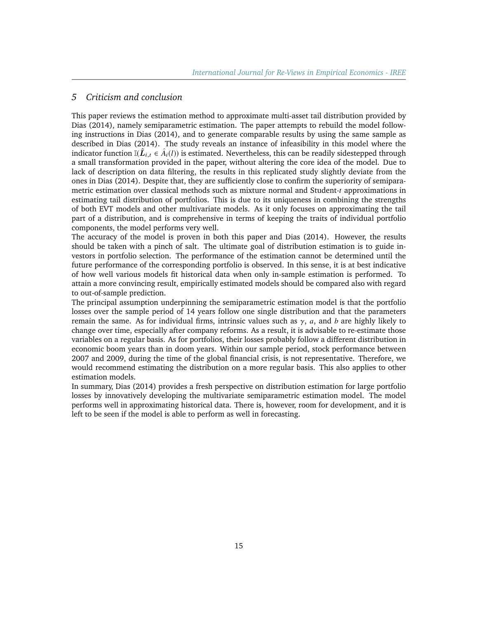## *5 Criticism and conclusion*

This paper reviews the estimation method to approximate multi-asset tail distribution provided by Dias (2014), namely semiparametric estimation. The paper attempts to rebuild the model following instructions in Dias (2014), and to generate comparable results by using the same sample as described in Dias (2014). The study reveals an instance of infeasibility in this model where the indicator function  $\mathbb{I}(\hat{L}_{i,t} \in \hat{A}_i(l))$  is estimated. Nevertheless, this can be readily sidestepped through a small transformation provided in the paper, without altering the core idea of the model. Due to lack of description on data filtering, the results in this replicated study slightly deviate from the ones in Dias (2014). Despite that, they are sufficiently close to confirm the superiority of semiparametric estimation over classical methods such as mixture normal and Student-*t* approximations in estimating tail distribution of portfolios. This is due to its uniqueness in combining the strengths of both EVT models and other multivariate models. As it only focuses on approximating the tail part of a distribution, and is comprehensive in terms of keeping the traits of individual portfolio components, the model performs very well.

The accuracy of the model is proven in both this paper and Dias (2014). However, the results should be taken with a pinch of salt. The ultimate goal of distribution estimation is to guide investors in portfolio selection. The performance of the estimation cannot be determined until the future performance of the corresponding portfolio is observed. In this sense, it is at best indicative of how well various models fit historical data when only in-sample estimation is performed. To attain a more convincing result, empirically estimated models should be compared also with regard to out-of-sample prediction.

The principal assumption underpinning the semiparametric estimation model is that the portfolio losses over the sample period of 14 years follow one single distribution and that the parameters remain the same. As for individual firms, intrinsic values such as γ, *<sup>a</sup>*, and *<sup>b</sup>* are highly likely to change over time, especially after company reforms. As a result, it is advisable to re-estimate those variables on a regular basis. As for portfolios, their losses probably follow a different distribution in economic boom years than in doom years. Within our sample period, stock performance between 2007 and 2009, during the time of the global financial crisis, is not representative. Therefore, we would recommend estimating the distribution on a more regular basis. This also applies to other estimation models.

In summary, Dias (2014) provides a fresh perspective on distribution estimation for large portfolio losses by innovatively developing the multivariate semiparametric estimation model. The model performs well in approximating historical data. There is, however, room for development, and it is left to be seen if the model is able to perform as well in forecasting.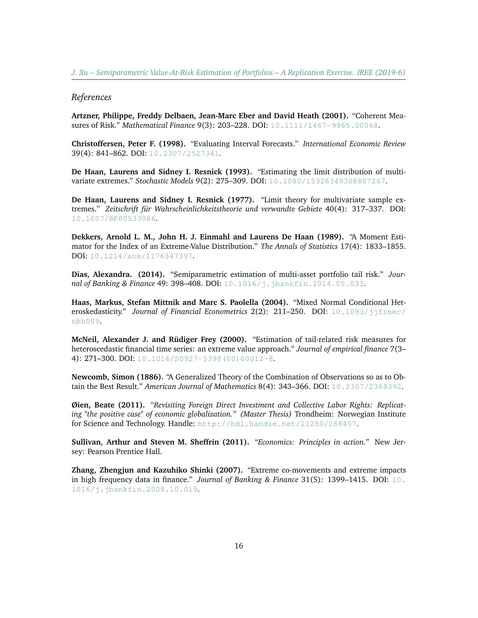#### *References*

**Artzner, Philippe, Freddy Delbaen, Jean-Marc Eber and David Heath (2001).** "Coherent Measures of Risk." *Mathematical Finance* 9(3): 203–228. DOI: [10.1111/1467-9965.00068](https://doi.org/10.1111/1467-9965.00068).

**Christoffersen, Peter F. (1998).** "Evaluating Interval Forecasts." *International Economic Review* 39(4): 841–862. DOI: [10.2307/2527341](https://doi.org/10.2307/2527341).

**De Haan, Laurens and Sidney I. Resnick (1993).** "Estimating the limit distribution of multivariate extremes." *Stochastic Models* 9(2): 275–309. DOI: [10.1080/15326349308807267](https://doi.org/10.1080/15326349308807267).

**De Haan, Laurens and Sidney I. Resnick (1977).** "Limit theory for multivariate sample extremes." *Zeitschrift für Wahrscheinlichkeitstheorie und verwandte Gebiete* 40(4): 317–337. DOI: [10.1007/BF00533086](https://doi.org/10.1007/BF00533086).

**Dekkers, Arnold L. M., John H. J. Einmahl and Laurens De Haan (1989).** "A Moment Estimator for the Index of an Extreme-Value Distribution." *The Annals of Statistics* 17(4): 1833–1855. DOI: [10.1214/aos/1176347397](https://projecteuclid.org/euclid.aos/1176347397).

**Dias, Alexandra. (2014).** "Semiparametric estimation of multi-asset portfolio tail risk." *Journal of Banking & Finance* 49: 398-408. DOI: [10.1016/j.jbankfin.2014.05.033](https://doi.org/10.1016/j.jbankfin.2014.05.033).

**Haas, Markus, Stefan Mittnik and Marc S. Paolella (2004).** "Mixed Normal Conditional Heteroskedasticity." *Journal of Financial Econometrics* 2(2): 211–250. DOI: [10.1093/jjfinec/](https://doi.org/10.1093/jjfinec/nbh009) [nbh009](https://doi.org/10.1093/jjfinec/nbh009).

**McNeil, Alexander J. and Rüdiger Frey (2000).** "Estimation of tail-related risk measures for heteroscedastic financial time series: an extreme value approach." *Journal of empirical finance* 7(3– 4): 271-300. DOI: [10.1016/S0927-5398\(00\)00012-8](https://doi.org/10.1016/S0927-5398(00)00012-8).

**Newcomb, Simon (1886).** "A Generalized Theory of the Combination of Observations so as to Obtain the Best Result." *American Journal of Mathematics* 8(4): 343–366. DOI: [10.2307/2369392](https://doi.org/10.2307/2369392).

**Øien, Beate (2011).** "*Revisiting Foreign Direct Investment and Collective Labor Rights: Replicating "the positive case" of economic globalization." (Master Thesis)* Trondheim: Norwegian Institute for Science and Technology. Handle: <http://hdl.handle.net/11250/268407>.

**Sullivan, Arthur and Steven M. Sheffrin (2011).** "*Economics: Principles in action.*" New Jersey: Pearson Prentice Hall.

**Zhang, Zhengjun and Kazuhiko Shinki (2007).** "Extreme co-movements and extreme impacts in high frequency data in finance." *Journal of Banking & Finance* 31(5): 1399–1415. DOI: [10.](https://doi.org/10.1016/j.jbankfin.2006.10.019) [1016/j.jbankfin.2006.10.019](https://doi.org/10.1016/j.jbankfin.2006.10.019).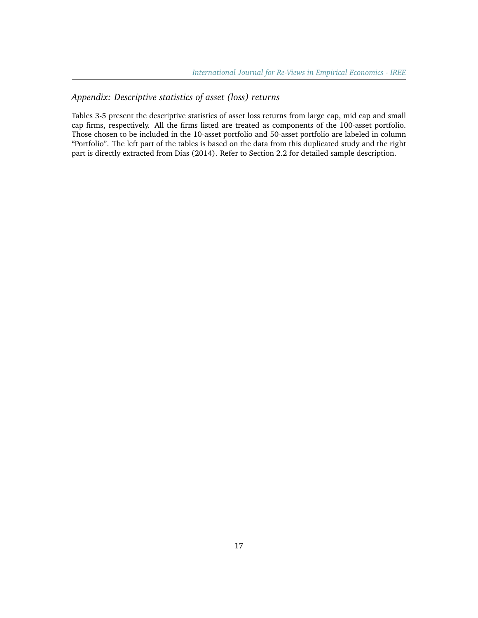# *Appendix: Descriptive statistics of asset (loss) returns*

Tables 3-5 present the descriptive statistics of asset loss returns from large cap, mid cap and small cap firms, respectively. All the firms listed are treated as components of the 100-asset portfolio. Those chosen to be included in the 10-asset portfolio and 50-asset portfolio are labeled in column "Portfolio". The left part of the tables is based on the data from this duplicated study and the right part is directly extracted from Dias (2014). Refer to Section 2.2 for detailed sample description.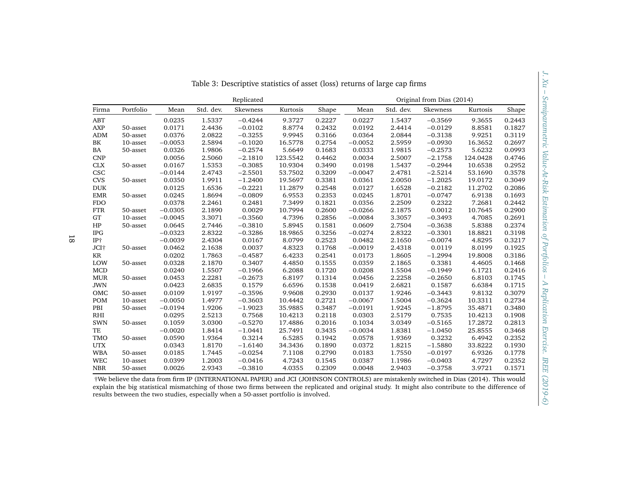|               |           |           |           | Replicated |          |        | Original from Dias (2014) |           |           |          |        |  |
|---------------|-----------|-----------|-----------|------------|----------|--------|---------------------------|-----------|-----------|----------|--------|--|
| Firma         | Portfolio | Mean      | Std. dev. | Skewness   | Kurtosis | Shape  | Mean                      | Std. dev. | Skewness  | Kurtosis | Shape  |  |
| <b>ABT</b>    |           | 0.0235    | 1.5337    | $-0.4244$  | 9.3727   | 0.2227 | 0.0227                    | 1.5437    | $-0.3569$ | 9.3655   | 0.2443 |  |
| <b>AXP</b>    | 50-asset  | 0.0171    | 2.4436    | $-0.0102$  | 8.8774   | 0.2432 | 0.0192                    | 2.4414    | $-0.0129$ | 8.8581   | 0.1827 |  |
| ADM           | 50-asset  | 0.0376    | 2.0822    | $-0.3255$  | 9.9945   | 0.3166 | 0.0364                    | 2.0844    | $-0.3138$ | 9.9251   | 0.3119 |  |
| BK            | 10-asset  | $-0.0053$ | 2.5894    | $-0.1020$  | 16.5778  | 0.2754 | $-0.0052$                 | 2.5959    | $-0.0930$ | 16.3652  | 0.2697 |  |
| BA            | 50-asset  | 0.0326    | 1.9806    | $-0.2574$  | 5.6649   | 0.1683 | 0.0333                    | 1.9815    | $-0.2573$ | 5.6232   | 0.0993 |  |
| <b>CNP</b>    |           | 0.0056    | 2.5060    | $-2.1810$  | 123.5542 | 0.4462 | 0.0034                    | 2.5007    | $-2.1758$ | 124.0428 | 0.4746 |  |
| CLX           | 50-asset  | 0.0167    | 1.5353    | $-0.3085$  | 10.9304  | 0.3490 | 0.0198                    | 1.5437    | $-0.2944$ | 10.6538  | 0.2952 |  |
| CSC           |           | $-0.0144$ | 2.4743    | $-2.5501$  | 53.7502  | 0.3209 | $-0.0047$                 | 2.4781    | $-2.5214$ | 53.1690  | 0.3578 |  |
| <b>CVS</b>    | 50-asset  | 0.0350    | 1.9911    | $-1.2400$  | 19.5697  | 0.3381 | 0.0361                    | 2.0050    | $-1.2025$ | 19.0172  | 0.3049 |  |
| <b>DUK</b>    |           | 0.0125    | 1.6536    | $-0.2221$  | 11.2879  | 0.2548 | 0.0127                    | 1.6528    | $-0.2182$ | 11.2702  | 0.2086 |  |
| <b>EMR</b>    | 50-asset  | 0.0245    | 1.8694    | $-0.0809$  | 6.9553   | 0.2353 | 0.0245                    | 1.8701    | $-0.0747$ | 6.9138   | 0.1693 |  |
| <b>FDO</b>    |           | 0.0378    | 2.2461    | 0.2481     | 7.3499   | 0.1821 | 0.0356                    | 2.2509    | 0.2322    | 7.2681   | 0.2442 |  |
| <b>FTR</b>    | 50-asset  | $-0.0305$ | 2.1890    | 0.0029     | 10.7994  | 0.2600 | $-0.0266$                 | 2.1875    | 0.0012    | 10.7645  | 0.2900 |  |
| GT            | 10-asset  | $-0.0045$ | 3.3071    | $-0.3560$  | 4.7396   | 0.2856 | $-0.0084$                 | 3.3057    | $-0.3493$ | 4.7085   | 0.2691 |  |
| HP            | 50-asset  | 0.0645    | 2.7446    | $-0.3810$  | 5.8945   | 0.1581 | 0.0609                    | 2.7504    | $-0.3638$ | 5.8388   | 0.2374 |  |
| <b>IPG</b>    |           | $-0.0323$ | 2.8322    | $-0.3286$  | 18.9865  | 0.3256 | $-0.0274$                 | 2.8322    | $-0.3301$ | 18.8821  | 0.3198 |  |
| IP+           |           | $-0.0039$ | 2.4304    | 0.0167     | 8.0799   | 0.2523 | 0.0482                    | 2.1650    | $-0.0074$ | 4.8295   | 0.3217 |  |
| JCI+          | 50-asset  | 0.0462    | 2.1638    | 0.0037     | 4.8323   | 0.1768 | $-0.0019$                 | 2.4318    | 0.0119    | 8.0199   | 0.1925 |  |
| KR            |           | 0.0202    | 1.7863    | $-0.4587$  | 6.4233   | 0.2541 | 0.0173                    | 1.8605    | $-1.2994$ | 19.8008  | 0.3186 |  |
| $_{\rm{LOW}}$ | 50-asset  | 0.0328    | 2.1870    | 0.3407     | 4.4850   | 0.1555 | 0.0359                    | 2.1865    | 0.3381    | 4.4605   | 0.1468 |  |
| <b>MCD</b>    |           | 0.0240    | 1.5507    | $-0.1966$  | 6.2088   | 0.1720 | 0.0208                    | 1.5504    | $-0.1949$ | 6.1721   | 0.2416 |  |
| <b>MUR</b>    | 50-asset  | 0.0453    | 2.2281    | $-0.2673$  | 6.8197   | 0.1314 | 0.0456                    | 2.2258    | $-0.2650$ | 6.8103   | 0.1745 |  |
| <b>JWN</b>    |           | 0.0423    | 2.6835    | 0.1579     | 6.6596   | 0.1538 | 0.0419                    | 2.6821    | 0.1587    | 6.6384   | 0.1715 |  |
| OMC           | 50-asset  | 0.0109    | 1.9197    | $-0.3596$  | 9.9608   | 0.2930 | 0.0137                    | 1.9246    | $-0.3443$ | 9.8132   | 0.3079 |  |
| POM           | 10-asset  | $-0.0050$ | 1.4977    | $-0.3603$  | 10.4442  | 0.2721 | $-0.0067$                 | 1.5004    | $-0.3624$ | 10.3311  | 0.2734 |  |
| PBI           | 50-asset  | $-0.0194$ | 1.9206    | $-1.9023$  | 35.9885  | 0.3487 | $-0.0191$                 | 1.9245    | $-1.8795$ | 35.4871  | 0.3480 |  |
| RHI           |           | 0.0295    | 2.5213    | 0.7568     | 10.4213  | 0.2118 | 0.0303                    | 2.5179    | 0.7535    | 10.4213  | 0.1908 |  |
| <b>SWN</b>    | 50-asset  | 0.1059    | 3.0300    | $-0.5270$  | 17.4886  | 0.2016 | 0.1034                    | 3.0349    | $-0.5165$ | 17.2872  | 0.2813 |  |
| TE            |           | $-0.0020$ | 1.8414    | $-1.0441$  | 25.7491  | 0.3435 | $-0.0034$                 | 1.8381    | $-1.0450$ | 25.8555  | 0.3468 |  |
| TMO           | 50-asset  | 0.0590    | 1.9364    | 0.3214     | 6.5285   | 0.1942 | 0.0578                    | 1.9369    | 0.3232    | 6.4942   | 0.2352 |  |
| <b>UTX</b>    |           | 0.0343    | 1.8170    | $-1.6140$  | 34.3436  | 0.1890 | 0.0372                    | 1.8215    | $-1.5880$ | 33.8222  | 0.1930 |  |
| <b>WBA</b>    | 50-asset  | 0.0185    | 1.7445    | $-0.0254$  | 7.1108   | 0.2790 | 0.0183                    | 1.7550    | $-0.0197$ | 6.9326   | 0.1778 |  |
| <b>WEC</b>    | 10-asset  | 0.0399    | 1.2003    | $-0.0416$  | 4.7243   | 0.1545 | 0.0387                    | 1.1986    | $-0.0403$ | 4.7297   | 0.2352 |  |
| <b>NBR</b>    | 50-asset  | 0.0026    | 2.9343    | $-0.3810$  | 4.0355   | 0.2309 | 0.0048                    | 2.9403    | $-0.3758$ | 3.9721   | 0.1571 |  |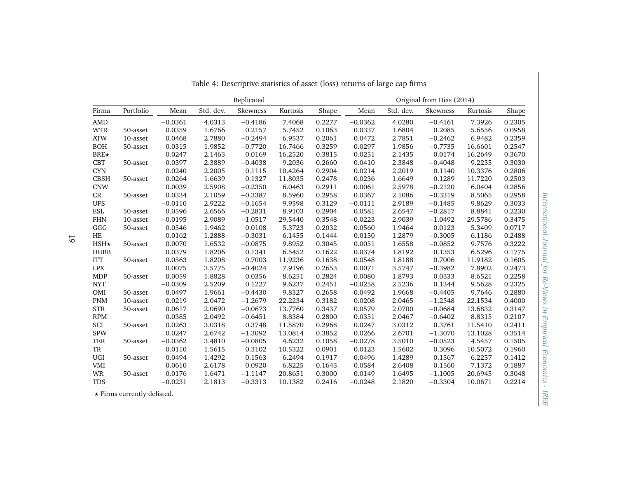|             |           |           |           | Replicated |          |        |           |           | Original from Dias (2014) |          |        |
|-------------|-----------|-----------|-----------|------------|----------|--------|-----------|-----------|---------------------------|----------|--------|
| Firma       | Portfolio | Mean      | Std. dev. | Skewness   | Kurtosis | Shape  | Mean      | Std. dev. | Skewness                  | Kurtosis | Shape  |
| <b>AMD</b>  |           | $-0.0361$ | 4.0313    | $-0.4186$  | 7.4068   | 0.2277 | $-0.0362$ | 4.0280    | $-0.4161$                 | 7.3926   | 0.2305 |
| <b>WTR</b>  | 50-asset  | 0.0359    | 1.6766    | 0.2157     | 5.7452   | 0.1063 | 0.0337    | 1.6804    | 0.2085                    | 5.6556   | 0.0958 |
| <b>ATW</b>  | 10-asset  | 0.0468    | 2.7880    | $-0.2494$  | 6.9537   | 0.2061 | 0.0472    | 2.7851    | $-0.2462$                 | 6.9482   | 0.2359 |
| <b>BOH</b>  | 50-asset  | 0.0315    | 1.9852    | $-0.7720$  | 16.7466  | 0.3259 | 0.0297    | 1.9856    | $-0.7735$                 | 16.6601  | 0.2547 |
| $BRE\star$  |           | 0.0247    | 2.1463    | 0.0169     | 16.2520  | 0.3815 | 0.0251    | 2.1435    | 0.0174                    | 16.2649  | 0.3670 |
| <b>CBT</b>  | 50-asset  | 0.0397    | 2.3889    | $-0.4038$  | 9.2036   | 0.2660 | 0.0410    | 2.3848    | $-0.4048$                 | 9.2235   | 0.3030 |
| <b>CYN</b>  |           | 0.0240    | 2.2005    | 0.1115     | 10.4264  | 0.2904 | 0.0214    | 2.2019    | 0.1140                    | 10.3376  | 0.2806 |
| <b>CBSH</b> | 50-asset  | 0.0264    | 1.6639    | 0.1327     | 11.8035  | 0.2478 | 0.0236    | 1.6649    | 0.1289                    | 11.7220  | 0.2503 |
| <b>CNW</b>  |           | 0.0039    | 2.5908    | $-0.2350$  | 6.0463   | 0.2911 | 0.0061    | 2.5978    | $-0.2120$                 | 6.0404   | 0.2856 |
| CR          | 50-asset  | 0.0334    | 2.1059    | $-0.3387$  | 8.5960   | 0.2958 | 0.0367    | 2.1086    | $-0.3319$                 | 8.5065   | 0.2958 |
| <b>UFS</b>  |           | $-0.0110$ | 2.9222    | $-0.1654$  | 9.9598   | 0.3129 | $-0.0111$ | 2.9189    | $-0.1485$                 | 9.8629   | 0.3033 |
| <b>ESL</b>  | 50-asset  | 0.0596    | 2.6566    | $-0.2831$  | 8.9103   | 0.2904 | 0.0581    | 2.6547    | $-0.2817$                 | 8.8841   | 0.2230 |
| <b>FHN</b>  | 10-asset  | $-0.0195$ | 2.9089    | $-1.0517$  | 29.5440  | 0.3548 | $-0.0223$ | 2.9039    | $-1.0492$                 | 29.5786  | 0.3475 |
| GGG         | 50-asset  | 0.0546    | 1.9462    | 0.0108     | 5.3723   | 0.2032 | 0.0560    | 1.9464    | 0.0123                    | 5.3409   | 0.0717 |
| HE          |           | 0.0162    | 1.2888    | $-0.3031$  | 6.1455   | 0.1444 | 0.0150    | 1.2879    | $-0.3005$                 | 6.1186   | 0.2488 |
| $HSH\star$  | 50-asset  | 0.0070    | 1.6532    | $-0.0875$  | 9.8952   | 0.3045 | 0.0051    | 1.6558    | $-0.0852$                 | 9.7576   | 0.3222 |
| <b>HUBB</b> |           | 0.0379    | 1.8206    | 0.1341     | 6.5452   | 0.1622 | 0.0374    | 1.8192    | 0.1353                    | 6.5296   | 0.1775 |
| <b>ITT</b>  | 50-asset  | 0.0563    | 1.8208    | 0.7003     | 11.9236  | 0.1638 | 0.0548    | 1.8188    | 0.7006                    | 11.9182  | 0.1605 |
| <b>LPX</b>  |           | 0.0075    | 3.5775    | $-0.4024$  | 7.9196   | 0.2653 | 0.0071    | 3.5747    | $-0.3982$                 | 7.8902   | 0.2473 |
| <b>MDP</b>  | 50-asset  | 0.0059    | 1.8828    | 0.0356     | 8.6251   | 0.2824 | 0.0080    | 1.8793    | 0.0333                    | 8.6521   | 0.2258 |
| <b>NYT</b>  |           | $-0.0309$ | 2.5209    | 0.1227     | 9.6237   | 0.2451 | $-0.0258$ | 2.5236    | 0.1344                    | 9.5628   | 0.2325 |
| OMI         | 50-asset  | 0.0497    | 1.9661    | $-0.4430$  | 9.8327   | 0.2658 | 0.0492    | 1.9668    | $-0.4405$                 | 9.7646   | 0.2880 |
| <b>PNM</b>  | 10-asset  | 0.0219    | 2.0472    | $-1.2679$  | 22.2234  | 0.3182 | 0.0208    | 2.0465    | $-1.2548$                 | 22.1534  | 0.4000 |
| <b>STR</b>  | 50-asset  | 0.0617    | 2.0690    | $-0.0673$  | 13.7760  | 0.3437 | 0.0579    | 2.0700    | $-0.0684$                 | 13.6832  | 0.3147 |
| <b>RPM</b>  |           | 0.0385    | 2.0492    | $-0.6451$  | 8.8384   | 0.2800 | 0.0351    | 2.0467    | $-0.6402$                 | 8.8315   | 0.2107 |
| SCI         | 50-asset  | 0.0263    | 3.0318    | 0.3748     | 11.5870  | 0.2968 | 0.0247    | 3.0312    | 0.3761                    | 11.5410  | 0.2411 |
| <b>SPW</b>  |           | 0.0247    | 2.6742    | $-1.3092$  | 13.0814  | 0.3852 | 0.0266    | 2.6701    | $-1.3070$                 | 13.1028  | 0.3514 |
| <b>TER</b>  | 50-asset  | $-0.0362$ | 3.4810    | $-0.0805$  | 4.6232   | 0.1058 | $-0.0278$ | 3.5010    | $-0.0523$                 | 4.5457   | 0.1505 |
| TR          |           | 0.0110    | 1.5615    | 0.3102     | 10.5322  | 0.0901 | 0.0123    | 1.5602    | 0.3096                    | 10.5072  | 0.1960 |
| UGI         | 50-asset  | 0.0494    | 1.4292    | 0.1563     | 6.2494   | 0.1917 | 0.0496    | 1.4289    | 0.1567                    | 6.2257   | 0.1412 |
| <b>VMI</b>  |           | 0.0610    | 2.6178    | 0.0920     | 6.8225   | 0.1643 | 0.0584    | 2.6408    | 0.1560                    | 7.1372   | 0.1887 |
| <b>WR</b>   | 50-asset  | 0.0176    | 1.6471    | $-1.1147$  | 20.8651  | 0.3000 | 0.0149    | 1.6495    | $-1.1005$                 | 20.6945  | 0.3048 |
| <b>TDS</b>  |           | $-0.0231$ | 2.1813    | $-0.3313$  | 10.1382  | 0.2416 | $-0.0248$ | 2.1820    | $-0.3304$                 | 10.0671  | 0.2214 |

Table 4: Descriptive statistics of asset (loss) returns of large cap firms

 $\star$  Firms currently delisted.